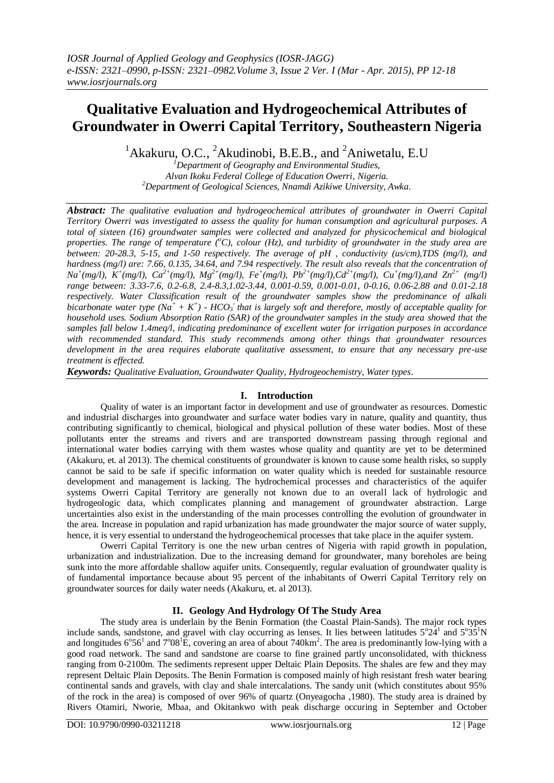# **Qualitative Evaluation and Hydrogeochemical Attributes of Groundwater in Owerri Capital Territory, Southeastern Nigeria**

<sup>1</sup>Akakuru, O.C., <sup>2</sup>Akudinobi, B.E.B., and <sup>2</sup>Aniwetalu, E.U

*<sup>1</sup>Department of Geography and Environmental Studies, Alvan Ikoku Federal College of Education Owerri, Nigeria. <sup>2</sup>Department of Geological Sciences, Nnamdi Azikiwe University, Awka.*

*Abstract: The qualitative evaluation and hydrogeochemical attributes of groundwater in Owerri Capital Territory Owerri was investigated to assess the quality for human consumption and agricultural purposes. A total of sixteen (16) groundwater samples were collected and analyzed for physicochemical and biological properties. The range of temperature*  $({}^oC)$ *, colour (Hz), and turbidity of groundwater in the study area are between: 20-28.3, 5-15, and 1-50 respectively. The average of pH , conductivity (us/cm),TDS (mg/l), and hardness (mg/l) are: 7.66, 0.135, 34.64, and 7.94 respectively. The result also reveals that the concentration of*  $Na^{+}(mg/l)$ ,  $K^{+}(mg/l)$ ,  $Ca^{2+}(mg/l)$ ,  $Mg^{2+}(mg/l)$ ,  $Fe^{+}(mg/l)$ ,  $Pb^{2+}(mg/l)$ ,  $Cd^{2+}(mg/l)$ ,  $Cu^{+}(mg/l)$ , and  $Zn^{2+}$   $(mg/l)$ *range between: 3.33-7.6, 0.2-6.8, 2.4-8.3,1.02-3.44, 0.001-0.59, 0.001-0.01, 0-0.16, 0.06-2.88 and 0.01-2.18 respectively. Water Classification result of the groundwater samples show the predominance of alkali bicarbonate water type*  $(Na^+ + K^+)$  -  $HCO_3$  *that is largely soft and therefore, mostly of acceptable quality for household uses. Sodium Absorption Ratio (SAR) of the groundwater samples in the study area showed that the samples fall below 1.4meq/l, indicating predominance of excellent water for irrigation purposes in accordance with recommended standard. This study recommends among other things that groundwater resources development in the area requires elaborate qualitative assessment, to ensure that any necessary pre-use treatment is effected.*

*Keywords: Qualitative Evaluation, Groundwater Quality, Hydrogeochemistry, Water types*.

## **I. Introduction**

Quality of water is an important factor in development and use of groundwater as resources. Domestic and industrial discharges into groundwater and surface water bodies vary in nature, quality and quantity, thus contributing significantly to chemical, biological and physical pollution of these water bodies. Most of these pollutants enter the streams and rivers and are transported downstream passing through regional and international water bodies carrying with them wastes whose quality and quantity are yet to be determined (Akakuru, et. al 2013). The chemical constituents of groundwater is known to cause some health risks, so supply cannot be said to be safe if specific information on water quality which is needed for sustainable resource development and management is lacking. The hydrochemical processes and characteristics of the aquifer systems Owerri Capital Territory are generally not known due to an overall lack of hydrologic and hydrogeologic data, which complicates planning and management of groundwater abstraction. Large uncertainties also exist in the understanding of the main processes controlling the evolution of groundwater in the area. Increase in population and rapid urbanization has made groundwater the major source of water supply, hence, it is very essential to understand the hydrogeochemical processes that take place in the aquifer system.

Owerri Capital Territory is one the new urban centres of Nigeria with rapid growth in population, urbanization and industrialization. Due to the increasing demand for groundwater, many boreholes are being sunk into the more affordable shallow aquifer units. Consequently, regular evaluation of groundwater quality is of fundamental importance because about 95 percent of the inhabitants of Owerri Capital Territory rely on groundwater sources for daily water needs (Akakuru, et. al 2013).

## **II. Geology And Hydrology Of The Study Area**

The study area is underlain by the Benin Formation (the Coastal Plain-Sands). The major rock types include sands, sandstone, and gravel with clay occurring as lenses. It lies between latitudes  $5^{\circ}24^{\circ}$  and  $5^{\circ}35^{\circ}$ N and longitudes  $6^{\circ}56^1$  and  $7^{\circ}08^1E$ , covering an area of about 740km<sup>2</sup>. The area is predominantly low-lying with a good road network. The sand and sandstone are coarse to fine grained partly unconsolidated, with thickness ranging from 0-2100m. The sediments represent upper Deltaic Plain Deposits. The shales are few and they may represent Deltaic Plain Deposits. The Benin Formation is composed mainly of high resistant fresh water bearing continental sands and gravels, with clay and shale intercalations. The sandy unit (which constitutes about 95% of the rock in the area) is composed of over 96% of quartz (Onyeagocha ,1980). The study area is drained by Rivers Otamiri, Nworie, Mbaa, and Okitankwo with peak discharge occuring in September and October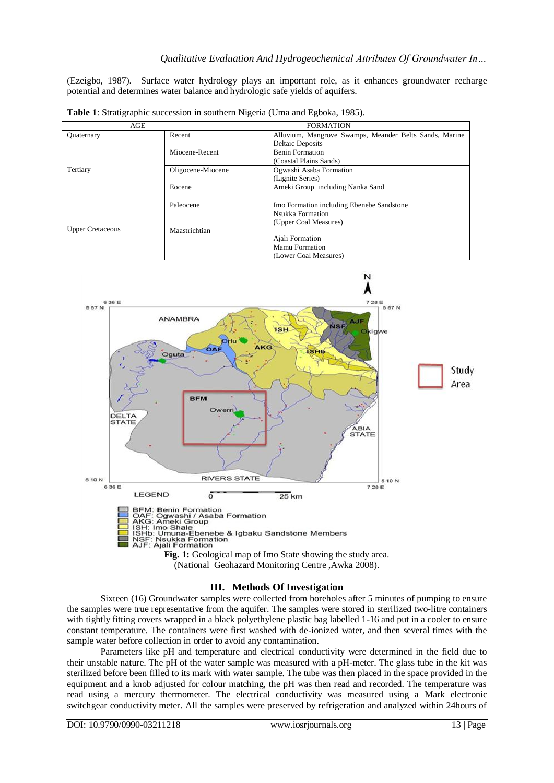(Ezeigbo, 1987). Surface water hydrology plays an important role, as it enhances groundwater recharge potential and determines water balance and hydrologic safe yields of aquifers.

| AGE                     |                   | <b>FORMATION</b>                                       |
|-------------------------|-------------------|--------------------------------------------------------|
| <b>Quaternary</b>       | Recent            | Alluvium, Mangrove Swamps, Meander Belts Sands, Marine |
|                         |                   | <b>Deltaic Deposits</b>                                |
|                         | Miocene-Recent    | <b>Benin Formation</b>                                 |
|                         |                   | (Coastal Plains Sands)                                 |
| Tertiary                | Oligocene-Miocene | Ogwashi Asaba Formation                                |
|                         |                   | (Lignite Series)                                       |
|                         | Eocene            | Ameki Group including Nanka Sand                       |
|                         |                   |                                                        |
|                         | Paleocene         | Imo Formation including Ebenebe Sandstone              |
|                         |                   | Nsukka Formation                                       |
|                         |                   | (Upper Coal Measures)                                  |
| <b>Upper Cretaceous</b> | Maastrichtian     |                                                        |
|                         |                   | Ajali Formation                                        |
|                         |                   | Mamu Formation                                         |
|                         |                   | (Lower Coal Measures)                                  |

**Table 1**: Stratigraphic succession in southern Nigeria (Uma and Egboka, 1985).



(National Geohazard Monitoring Centre ,Awka 2008).

## **III. Methods Of Investigation**

Sixteen (16) Groundwater samples were collected from boreholes after 5 minutes of pumping to ensure the samples were true representative from the aquifer. The samples were stored in sterilized two-litre containers with tightly fitting covers wrapped in a black polyethylene plastic bag labelled 1-16 and put in a cooler to ensure constant temperature. The containers were first washed with de-ionized water, and then several times with the sample water before collection in order to avoid any contamination.

Parameters like pH and temperature and electrical conductivity were determined in the field due to their unstable nature. The pH of the water sample was measured with a pH-meter. The glass tube in the kit was sterilized before been filled to its mark with water sample. The tube was then placed in the space provided in the equipment and a knob adjusted for colour matching, the pH was then read and recorded. The temperature was read using a mercury thermometer. The electrical conductivity was measured using a Mark electronic switchgear conductivity meter. All the samples were preserved by refrigeration and analyzed within 24hours of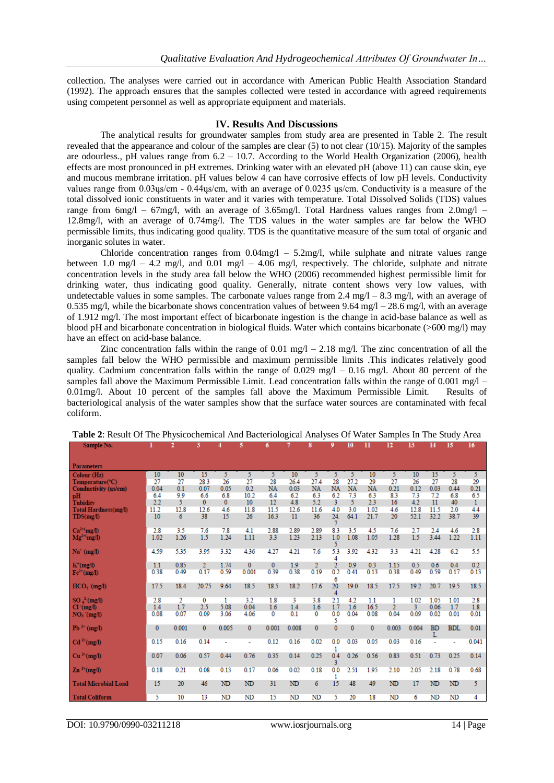collection. The analyses were carried out in accordance with American Public Health Association Standard (1992). The approach ensures that the samples collected were tested in accordance with agreed requirements using competent personnel as well as appropriate equipment and materials.

#### **IV. Results And Discussions**

The analytical results for groundwater samples from study area are presented in Table 2. The result revealed that the appearance and colour of the samples are clear (5) to not clear (10/15). Majority of the samples are odourless., pH values range from 6.2 – 10.7. According to the World Health Organization (2006), health effects are most pronounced in pH extremes. Drinking water with an elevated pH (above 11) can cause skin, eye and mucous membrane irritation. pH values below 4 can have corrosive effects of low pH levels. Conductivity values range from 0.03ųs/cm - 0.44ųs/cm, with an average of 0.0235 ųs/cm. Conductivity is a measure of the total dissolved ionic constituents in water and it varies with temperature. Total Dissolved Solids (TDS) values range from 6mg/l – 67mg/l, with an average of 3.65mg/l. Total Hardness values ranges from 2.0mg/l – 12.8mg/l, with an average of 0.74mg/l. The TDS values in the water samples are far below the WHO permissible limits, thus indicating good quality. TDS is the quantitative measure of the sum total of organic and inorganic solutes in water.

Chloride concentration ranges from  $0.04 \text{mg/l} - 5.2 \text{mg/l}$ , while sulphate and nitrate values range between 1.0 mg/l – 4.2 mg/l, and 0.01 mg/l – 4.06 mg/l, respectively. The chloride, sulphate and nitrate concentration levels in the study area fall below the WHO (2006) recommended highest permissible limit for drinking water, thus indicating good quality. Generally, nitrate content shows very low values, with undetectable values in some samples. The carbonate values range from  $2.4 \text{ mg/l} - 8.3 \text{ mg/l}$ , with an average of 0.535 mg/l, while the bicarbonate shows concentration values of between 9.64 mg/l – 28.6 mg/l, with an average of 1.912 mg/l. The most important effect of bicarbonate ingestion is the change in acid-base balance as well as blood pH and bicarbonate concentration in biological fluids. Water which contains bicarbonate (>600 mg/l) may have an effect on acid-base balance.

Zinc concentration falls within the range of 0.01 mg/l – 2.18 mg/l. The zinc concentration of all the samples fall below the WHO permissible and maximum permissible limits .This indicates relatively good quality. Cadmium concentration falls within the range of  $0.029 \text{ mg/l} - 0.16 \text{ mg/l}$ . About 80 percent of the samples fall above the Maximum Permissible Limit. Lead concentration falls within the range of  $0.001 \text{ mg}/l$  – 0.01mg/l. About 10 percent of the samples fall above the Maximum Permissible Limit. Results of bacteriological analysis of the water samples show that the surface water sources are contaminated with fecal coliform.

| Sample No.                           |              | 2           | 3              | 4              | 5              | 6                | 7            | 8                | 9                | 10               | n                | 12             | 13          | 14             | 15          | 16          |
|--------------------------------------|--------------|-------------|----------------|----------------|----------------|------------------|--------------|------------------|------------------|------------------|------------------|----------------|-------------|----------------|-------------|-------------|
|                                      |              |             |                |                |                |                  |              |                  |                  |                  |                  |                |             |                |             |             |
| <b>Parameters</b>                    |              |             |                |                |                |                  |              |                  |                  |                  |                  |                |             |                |             |             |
| Colour (Hz)                          | 10           | 10          | 15             | 5.             | 5              | 5                | 10           | 5.               | 5.               | 5                | 10               | 5.             | 10          | 15             | 5.          | 5           |
| Temperature(°C)                      | 27           | 27          | 28.3           | 26             | 27             | 28               | 26.4         | 27.4             | 28               | 27.2             | 29               | 27             | 26          | 27             | 28          | 29          |
| Conductivity (us/cm)                 | 0.04<br>6.4  | 0.1<br>9.9  | 0.07<br>6.6    | 0.05<br>6.8    | 0.2<br>10.2    | <b>NA</b><br>6.4 | 0.03<br>6.2  | <b>NA</b><br>6.3 | <b>NA</b><br>6.2 | <b>NA</b><br>7.3 | <b>NA</b><br>6.3 | 0.21<br>8.3    | 0.12<br>7.3 | 0.03<br>7.2    | 0.44<br>6.8 | 0.21<br>6.5 |
| pH<br><b>Tubidity</b>                | 2.2          | 5.          | 0              | $\mathbf{0}$   | 10             | 12               | 4.8          | 5.2              | 3                | 5.               | 2.3              | 16             | 4.2         | 11             | 40          | 1           |
| <b>Total Hardness(mg/l)</b>          | 11.2         | 12.8        | 12.6           | 4.6            | 11.8           | 11.5             | 12.6         | 11.6             | 4.0              | 3.0              | 1.02             | 4.6            | 12.8        | 11.5           | 2.0         | 4.4         |
| TDS(mg/l)                            | 10           | 6           | 38             | 15             | 26             | 16.3             | 11           | 36               | 24.              | 64.1             | 21.7             | 20             | 52.1        | 32.2           | 38.7        | 39          |
|                                      |              |             |                |                |                |                  |              |                  |                  |                  |                  |                |             |                |             |             |
| $Ca^{2+}(mg/l)$                      | 2.8<br>1.02  | 3.5<br>1.26 | 7.6<br>1.5     | 7.8<br>1.24    | 4.1<br>1.11    | 2.88<br>3.3      | 2.89<br>1.23 | 2.89<br>2.13     | 8.3<br>1.0       | 3.5<br>1.08      | 4.5<br>1.05      | 7.6<br>1.28    | 2.7<br>1.5  | 2.4<br>3.44    | 4.6<br>1.22 | 2.8<br>1.11 |
| $Mg^{2+(mg/l)}$                      |              |             |                |                |                |                  |              |                  | 5                |                  |                  |                |             |                |             |             |
| $Na^+(mg/l)$                         | 4.59         | 5.35        | 3.95           | 3.32           | 4.36           | 4.27             | 4.21         | 7.6              | 5.3<br>4         | 3.92             | 4.32             | 3.3            | 4.21        | 4.28           | 6.2         | 5.5         |
| $K^+(mg)$                            | 1.1          | 0.85        | $\overline{2}$ | 1.74           | $\mathbf{0}$   | $\mathbf{0}$     | 1.9          | $\overline{2}$   | $\overline{2}$   | 0.9              | 0.3              | 1.15           | 0.5         | 0.6            | 0.4         | 0.2         |
| $Fe2+(mg/l)$                         | 0.38         | 0.49        | 0.17           | 0.59           | 0.001          | 0.39             | 0.38         | 0.19             | 0.2<br>6         | 0.41             | 0.13             | 0.38           | 0.49        | 0.59           | 0.17        | 0.13        |
| $HCO3$ (mg/l)                        | 17.5         | 18.4        | 20.75          | 9.64           | 18.5           | 18.5             | 18.2         | 17.6             | 20.<br>4         | 19.0             | 18.5             | 17.5           | 19.2        | 20.7           | 19.5        | 18.5        |
| $SO_4^2$ (mg/I)                      | 2.8          | 2           | 0              | 1              | 3.2            | 1.8              | 3            | 3.8              | 2.1              | 4.2              | 1.1              | 1              | 1.02        | 1.05           | 1.01        | 2.8         |
| $Cl^{(mg/l)}$                        | 1.4          | 1.7         | 2.5            | 5.08           | 0.04           | 1.6              | 1.4          | 1.6              | 1.7              | 1.6              | 16.5             | $\overline{2}$ | 3           | 0.06           | 1.7         | 1.8         |
| $NO3$ (mg/l)                         | 0.08         | 0.07        | 0.09           | 3.06           | 4.06           | 0                | 0.1          | 0                | 0.0<br>5         | 0.04             | 0.08             | 0.04           | 0.09        | 0.02           | 0.01        | 0.01        |
| $Pb^{2+}$ (mg/I)                     | $\mathbf{0}$ | 0.001       | $\mathbf{0}$   | 0.005          | $\mathbf{0}$   | 0.001            | 0.008        | $\mathbf{0}$     | $\mathbf{0}$     | $\mathbf{0}$     | $\mathbf{0}$     | 0.003          | 0.004       | <b>BD</b><br>L | <b>BDL</b>  | 0.01        |
| $\text{Cd}^{2+}(\text{mg}/\text{I})$ | 0.15         | 0.16        | 0.14           | ÷              |                | 0.12             | 0.16         | 0.02             | 0.0<br>1         | 0.03             | 0.05             | 0.03           | 0.16        | ÷,             |             | 0.041       |
| $Cu^{2+}(mg/l)$                      | 0.07         | 0.06        | 0.57           | 0.44           | 0.76           | 0.35             | 0.14         | 0.25             | 0.4              | 0.26             | 0.56             | 0.83           | 0.51        | 0.73           | 0.25        | 0.14        |
|                                      |              |             |                |                |                |                  |              |                  | 3                |                  |                  |                |             |                |             |             |
| $Zn^{2+}(mg/l)$                      | 0.18         | 0.21        | 0.08           | 0.13           | 0.17           | 0.06             | 0.02         | 0.18             | 0.0<br>1         | 2.51             | 1.95             | 2.10           | 2.05        | 2.18           | 0.78        | 0.68        |
| Total Microbial Load                 | 15           | 20          | 46             | N <sub>D</sub> | N <sub>D</sub> | 31               | ND           | 6                | 15               | 48               | 49               | N <sub>D</sub> | 17          | ND             | ND          | 5           |
| <b>Total Coliform</b>                | 5            | 10          | 13             | N <sub>D</sub> | ND             | 15               | ND           | ND               | 5                | 20               | 18               | N <sub>D</sub> | 6           | ND             | ND          | 4           |

| <b>Table 2:</b> Result Of The Physicochemical And Bacteriological Analyses Of Water Samples In The Study Area |  |  |
|---------------------------------------------------------------------------------------------------------------|--|--|
|---------------------------------------------------------------------------------------------------------------|--|--|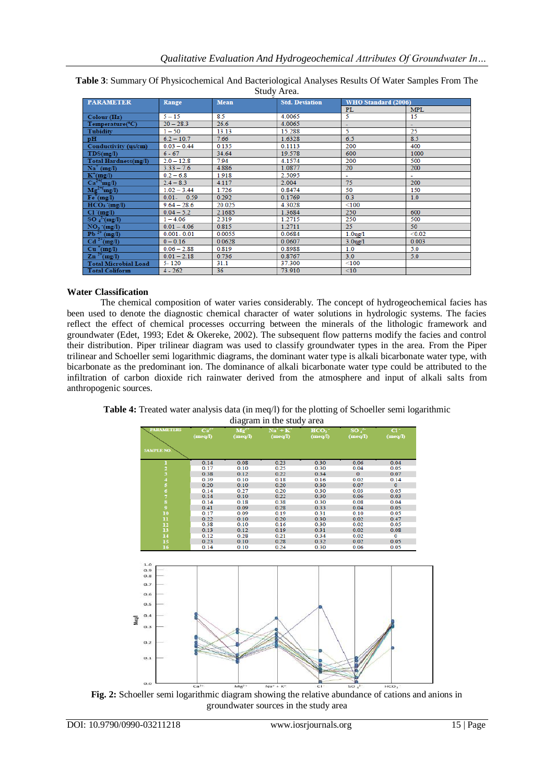| Stuuy Arca.                              |                  |        |                       |                            |            |  |  |
|------------------------------------------|------------------|--------|-----------------------|----------------------------|------------|--|--|
| <b>PARAMETER</b>                         | Range            | Mean   | <b>Std. Deviation</b> | <b>WHO Standard (2006)</b> |            |  |  |
|                                          |                  |        |                       | PL                         | <b>MPL</b> |  |  |
| Colour (Hz)                              | $5 - 15$         | 8.5    | 4.0065                | 5                          | 15         |  |  |
| Temperature(°C)                          | $20 - 28.3$      | 26.6   | 4.0065                | ۰                          |            |  |  |
| <b>Tubidity</b>                          | $1 - 50$         | 13.13  | 15.288                | 5                          | 25         |  |  |
| pH                                       | $6.2 - 10.7$     | 7.66   | 1.6328                | 6.5                        | 8.5        |  |  |
| Conductivity (us/cm)                     | $0.03 - 0.44$    | 0.135  | 0.1113                | 200                        | 400        |  |  |
| TDS(mg/l)                                | $6 - 67$         | 34.64  | 19.578                | 600                        | 1000       |  |  |
| Total Hardness(mg/l)                     | $2.0 - 12.8$     | 7.94   | 4.1574                | 200                        | 500        |  |  |
| $\mathrm{Na}^+$ (mg/l)                   | $3.33 - 7.6$     | 4.886  | 1.0877                | 20                         | 200        |  |  |
| $K^+(mg/l)$                              | $0.2 - 6.8$      | 1.918  | 2.5095                | ٠                          |            |  |  |
| $Ca^{2+}(mg/l)$                          | $2.4 - 8.3$      | 4.117  | 2.004                 | 75                         | 200        |  |  |
| $\overline{\text{Mg}}^{2+}(\text{mg/l})$ | $1.02 - 3.44$    | 1.726  | 0.8474                | 50                         | 150        |  |  |
| $Fe+(mg/l)$                              | $0.01 -$<br>0.59 | 0.292  | 0.1769                | 0.3                        | 1.0        |  |  |
| $HCO3$ (mg/l)                            | $9.64 - 28.6$    | 20.025 | 4.3028                | < 100                      |            |  |  |
| $Cl^{(mg/l)}$                            | $0.04 - 5.2$     | 2.1685 | 1.3684                | 250                        | 600        |  |  |
| $SO_4^2$ (mg/l)                          | $1 - 4.06$       | 2.319  | 1.2715                | 250                        | 500        |  |  |
| $NO_3$ (mg/l)                            | $0.01 - 4.06$    | 0.815  | 1.2711                | 25                         | 50         |  |  |
| $Pb^{2+} (mg/l)$                         | $0.001 - 0.01$   | 0.0055 | 0.0684                | $1.0$ ug/ $1$              | < 0.02     |  |  |
| $\text{Cd}^{2+}(\text{mg/l})$            | $0 - 0.16$       | 0.0628 | 0.0607                | $3.0$ ug/ $1$              | 0.003      |  |  |
| $Cu^+(mg/l)$                             | $0.06 - 2.88$    | 0.819  | 0.8988                | 1.0                        | 5.0        |  |  |
| $\overline{\text{Zn}^{2+}(\text{mg/l})}$ | $0.01 - 2.18$    | 0.736  | 0.8767                | 3.0                        | 5.0        |  |  |
| <b>Total Microbial Load</b>              | $5 - 120$        | 31.1   | 37.300                | $\leq 100$                 |            |  |  |
| <b>Total Coliform</b>                    | $4 - 262$        | 36     | 73.910                | $\leq10$                   |            |  |  |

**Table 3**: Summary Of Physicochemical And Bacteriological Analyses Results Of Water Samples From The Study Area.

# **Water Classification**

The chemical composition of water varies considerably. The concept of hydrogeochemical facies has been used to denote the diagnostic chemical character of water solutions in hydrologic systems. The facies reflect the effect of chemical processes occurring between the minerals of the lithologic framework and groundwater (Edet, 1993; Edet & Okereke, 2002). The subsequent flow patterns modify the facies and control their distribution. Piper trilinear diagram was used to classify groundwater types in the area. From the Piper trilinear and Schoeller semi logarithmic diagrams, the dominant water type is alkali bicarbonate water type, with bicarbonate as the predominant ion. The dominance of alkali bicarbonate water type could be attributed to the infiltration of carbon dioxide rich rainwater derived from the atmosphere and input of alkali salts from anthropogenic sources.



**Table 4:** Treated water analysis data (in meq/l) for the plotting of Schoeller semi logarithmic diagram in the study area

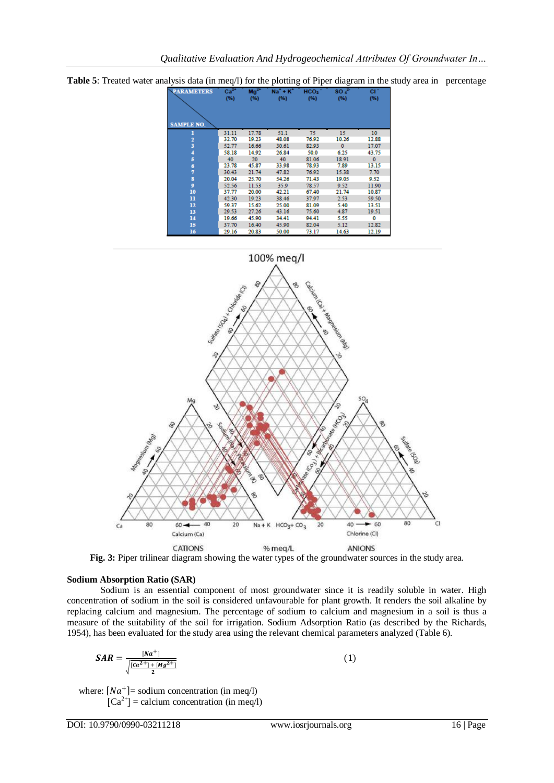**Table 5**: Treated water analysis data (in meq/l) for the plotting of Piper diagram in the study area in percentage





**Fig. 3:** Piper trilinear diagram showing the water types of the groundwater sources in the study area.

### **Sodium Absorption Ratio (SAR)**

Sodium is an essential component of most groundwater since it is readily soluble in water. High concentration of sodium in the soil is considered unfavourable for plant growth. It renders the soil alkaline by replacing calcium and magnesium. The percentage of sodium to calcium and magnesium in a soil is thus a measure of the suitability of the soil for irrigation. Sodium Adsorption Ratio (as described by the Richards, 1954), has been evaluated for the study area using the relevant chemical parameters analyzed (Table 6).

$$
SAR = \frac{[Na^+]}{\sqrt{\frac{[Ca^{2+}]+[Mg^{2+}]}{2}}}
$$
(1)

where:  $[Na^+]$  = sodium concentration (in meq/l)  $[Ca^{2+}]$  = calcium concentration (in meq/l)

DOI: 10.9790/0990-03211218 www.iosrjournals.org 16 | Page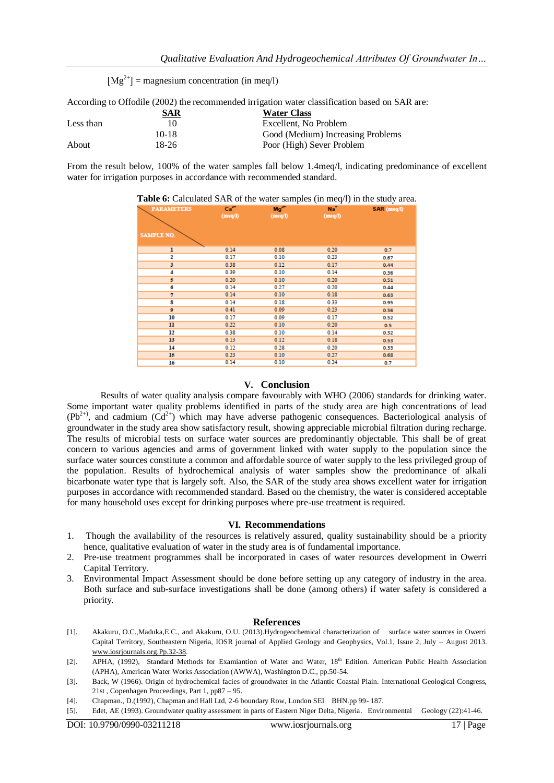$[Mg^{2+}]$  = magnesium concentration (in meg/l)

According to Offodile (2002) the recommended irrigation water classification based on SAR are:

|           | SAR     | <b>Water Class</b>                |
|-----------|---------|-----------------------------------|
| Less than |         | Excellent. No Problem             |
|           | $10-18$ | Good (Medium) Increasing Problems |
| About     | 18-26   | Poor (High) Sever Problem         |

From the result below, 100% of the water samples fall below 1.4meq/l, indicating predominance of excellent water for irrigation purposes in accordance with recommended standard.

| <b>PARAMETERS</b> | $Ca2+$<br>(meq/l) | $Mg^{2+}$<br>(meq/l) | $Na*$<br>(meq/l) | SAR (meq/l) |
|-------------------|-------------------|----------------------|------------------|-------------|
| <b>SAMPLE NO.</b> |                   |                      |                  |             |
| ı                 | 0.14              | 0.08                 | 0.20             | 0.7         |
| 2                 | 0.17              | 0.10                 | 0.23             | 0.67        |
| 3                 | 0.38              | 0.12                 | 0.17             | 0.44        |
| 4                 | 0.39              | 0.10                 | 0.14             | 0.36        |
| 5                 | 0.20              | 0.10                 | 0.20             | 0.51        |
| б                 | 0.14              | 0.27                 | 0.20             | 0.44        |
| 7                 | 0.14              | 0.10                 | 0.18             | 0.63        |
| 8                 | 0.14              | 0.18                 | 0.33             | 0.95        |
| $\overline{9}$    | 0.41              | 0.09                 | 0.23             | 0.56        |
| 10                | 0.17              | 0.09                 | 0.17             | 0.52        |
| $\mathbf{u}$      | 0.22              | 0.10                 | 0.20             | 0.5         |
| 12                | 0.38              | 0.10                 | 0.14             | 0.32        |
| 13                | 0.13              | 0.12                 | 0.18             | 0.53        |
| 14                | 0.12              | 0.28                 | 0.20             | 0.33        |
| 15                | 0.23              | 0.10                 | 0.27             | 0.68        |
| 16                | 0.14              | 0.10                 | 0.24             | 0.7         |

**Table 6:** Calculated SAR of the water samples (in meq/l) in the study area.

## **V. Conclusion**

Results of water quality analysis compare favourably with WHO (2006) standards for drinking water. Some important water quality problems identified in parts of the study area are high concentrations of lead  $(Pb^{2+})$ , and cadmium  $(Cd^{2+})$  which may have adverse pathogenic consequences. Bacteriological analysis of groundwater in the study area show satisfactory result, showing appreciable microbial filtration during recharge. The results of microbial tests on surface water sources are predominantly objectable. This shall be of great concern to various agencies and arms of government linked with water supply to the population since the surface water sources constitute a common and affordable source of water supply to the less privileged group of the population. Results of hydrochemical analysis of water samples show the predominance of alkali bicarbonate water type that is largely soft. Also, the SAR of the study area shows excellent water for irrigation purposes in accordance with recommended standard. Based on the chemistry, the water is considered acceptable for many household uses except for drinking purposes where pre-use treatment is required.

#### **VI. Recommendations**

- 1. Though the availability of the resources is relatively assured, quality sustainability should be a priority hence, qualitative evaluation of water in the study area is of fundamental importance.
- 2. Pre-use treatment programmes shall be incorporated in cases of water resources development in Owerri Capital Territory.
- 3. Environmental Impact Assessment should be done before setting up any category of industry in the area. Both surface and sub-surface investigations shall be done (among others) if water safety is considered a priority.

#### **References**

- [1]. Akakuru, O.C.,Maduka,E.C., and Akakuru, O.U. (2013).Hydrogeochemical characterization of surface water sources in Owerri Capital Territory, Southeastern Nigeria, IOSR journal of Applied Geology and Geophysics, Vol.1, Issue 2, July – August 2013. [www.iosrjournals.org.Pp.32-38.](http://www.iosrjournals.org.pp.32-38/)
- [2]. APHA, (1992), Standard Methods for Examiantion of Water and Water, 18<sup>th</sup> Edition. American Public Health Association (APHA), American Water Works Association (AWWA), Washington D.C., pp.50-54.
- [3]. Back, W (1966). Origin of hydrochemical facies of groundwater in the Atlantic Coastal Plain. International Geological Congress, 21st , Copenhagen Proceedings, Part 1, pp87 – 95.
- [4]. Chapman., D.(1992), Chapman and Hall Ltd, 2-6 boundary Row, London SEI BHN.pp 99- 187.
- [5]. Edet, AE (1993). Groundwater quality assessment in parts of Eastern Niger Delta, Nigeria. Environmental Geology (22):41-46.